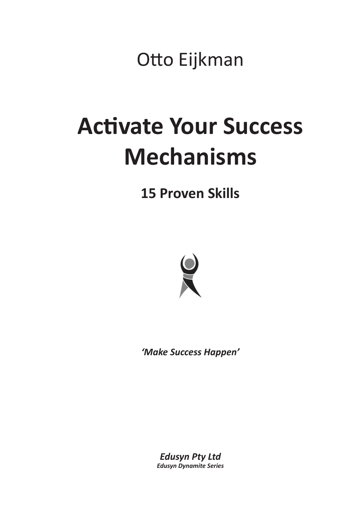Otto Eijkman

## **Activate Your Success Mechanisms**

**15 Proven Skills**



*'Make Success Happen'*

*Edusyn Pty Ltd Edusyn Dynamite Series*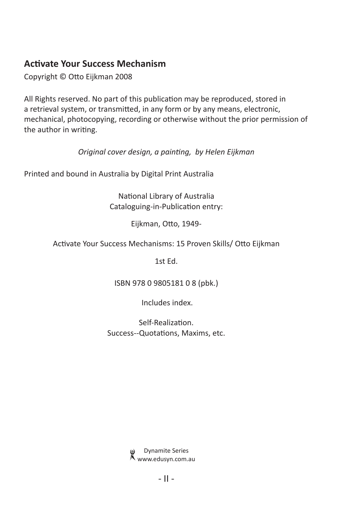#### **Activate Your Success Mechanism**

Copyright © Otto Eijkman 2008

All Rights reserved. No part of this publication may be reproduced, stored in a retrieval system, or transmitted, in any form or by any means, electronic, mechanical, photocopying, recording or otherwise without the prior permission of the author in writing.

*Original cover design, a painting, by Helen Eijkman*

Printed and bound in Australia by Digital Print Australia

National Library of Australia Cataloguing-in-Publication entry:

Eijkman, Otto, 1949-

Activate Your Success Mechanisms: 15 Proven Skills/ Otto Eijkman

1st Ed.

ISBN 978 0 9805181 0 8 (pbk.)

Includes index.

Self-Realization. Success--Quotations, Maxims, etc.

> Dynamite Series www.edusyn.com.au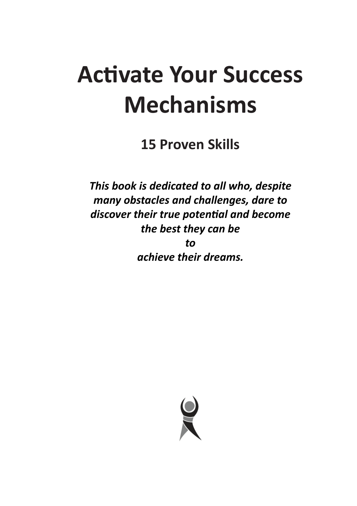## **Activate Your Success Mechanisms**

**15 Proven Skills**

*This book is dedicated to all who, despite many obstacles and challenges, dare to discover their true potential and become the best they can be to achieve their dreams.*

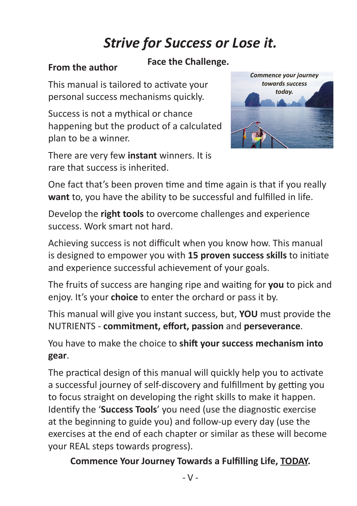### *Strive for Success or Lose it.*

#### **From the author**

#### **Face the Challenge.**

This manual is tailored to activate your personal success mechanisms quickly.

Success is not a mythical or chance happening but the product of a calculated plan to be a winner.

There are very few **instant** winners. It is rare that success is inherited.



One fact that's been proven time and time again is that if you really **want** to, you have the ability to be successful and fulfilled in life.

Develop the **right tools** to overcome challenges and experience success. Work smart not hard.

Achieving success is not difficult when you know how. This manual is designed to empower you with **15 proven success skills** to initiate and experience successful achievement of your goals.

The fruits of success are hanging ripe and waiting for **you** to pick and enjoy. It's your **choice** to enter the orchard or pass it by.

This manual will give you instant success, but, **YOU** must provide the NUTRIENTS - **commitment, effort, passion** and **perseverance**.

You have to make the choice to **shift your success mechanism into gear**.

The practical design of this manual will quickly help you to activate a successful journey of self-discovery and fulfillment by getting you to focus straight on developing the right skills to make it happen. Identify the '**Success Tools**' you need (use the diagnostic exercise at the beginning to guide you) and follow-up every day (use the exercises at the end of each chapter or similar as these will become your REAL steps towards progress).

**Commence Your Journey Towards a Fulfilling Life, TODAY.**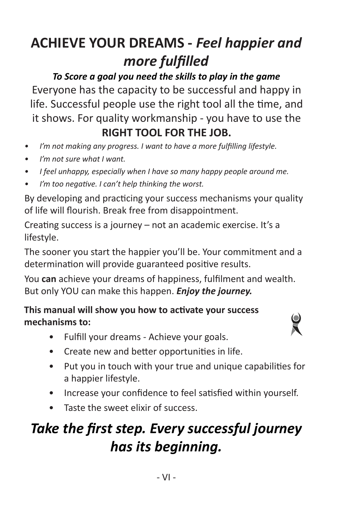## **ACHIEVE YOUR DREAMS -** *Feel happier and more fulfilled*

*To Score a goal you need the skills to play in the game*

Everyone has the capacity to be successful and happy in life. Successful people use the right tool all the time, and it shows. For quality workmanship - you have to use the **RIGHT TOOL FOR THE JOB.**

- *• I'm not making any progress. I want to have a more fulfilling lifestyle.*
- *• I'm not sure what I want.*
- *• I feel unhappy, especially when I have so many happy people around me.*
- *• I'm too negative. I can't help thinking the worst.*

By developing and practicing your success mechanisms your quality of life will flourish. Break free from disappointment.

Creating success is a journey – not an academic exercise. It's a lifestyle.

The sooner you start the happier you'll be. Your commitment and a determination will provide guaranteed positive results.

You **can** achieve your dreams of happiness, fulfilment and wealth. But only YOU can make this happen. *Enjoy the journey.*

#### **This manual will show you how to activate your success mechanisms to:**



- Fulfill your dreams Achieve your goals.
- Create new and better opportunities in life.
- Put you in touch with your true and unique capabilities for a happier lifestyle.
- Increase your confidence to feel satisfied within yourself.
- Taste the sweet elixir of success.

## *Take the first step. Every successful journey has its beginning.*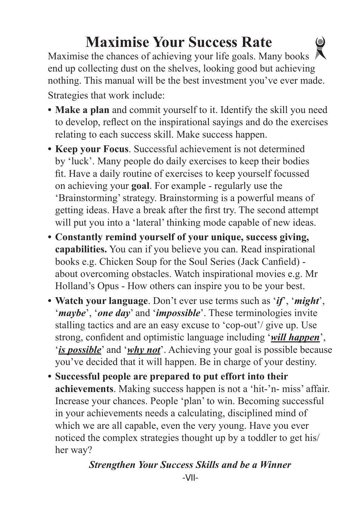## **Maximise Your Success Rate**

Maximise the chances of achieving your life goals. Many books  $\bigwedge$ end up collecting dust on the shelves, looking good but achieving nothing. This manual will be the best investment you've ever made. Strategies that work include:

- **Make a plan** and commit yourself to it. Identify the skill you need to develop, reflect on the inspirational sayings and do the exercises relating to each success skill. Make success happen.
- **• Keep your Focus**. Successful achievement is not determined by 'luck'. Many people do daily exercises to keep their bodies fit. Have a daily routine of exercises to keep yourself focussed on achieving your **goal**. For example - regularly use the 'Brainstorming' strategy. Brainstorming is a powerful means of getting ideas. Have a break after the first try. The second attempt will put you into a 'lateral' thinking mode capable of new ideas.
- **• Constantly remind yourself of your unique, success giving, capabilities.** You can if you believe you can. Read inspirational books e.g. Chicken Soup for the Soul Series (Jack Canfield) about overcoming obstacles. Watch inspirational movies e.g. Mr Holland's Opus - How others can inspire you to be your best.
- **• Watch your language**. Don't ever use terms such as '*if*', '*might*', '*maybe*', '*one day*' and '*impossible*'. These terminologies invite stalling tactics and are an easy excuse to 'cop-out'/ give up. Use strong, confident and optimistic language including '*will happen*', '*is possible*' and '*why not*'. Achieving your goal is possible because you've decided that it will happen. Be in charge of your destiny.
- **• Successful people are prepared to put effort into their achievements**. Making success happen is not a 'hit-'n- miss' affair. Increase your chances. People 'plan' to win. Becoming successful in your achievements needs a calculating, disciplined mind of which we are all capable, even the very young. Have you ever noticed the complex strategies thought up by a toddler to get his/ her way?

#### *Strengthen Your Success Skills and be a Winner*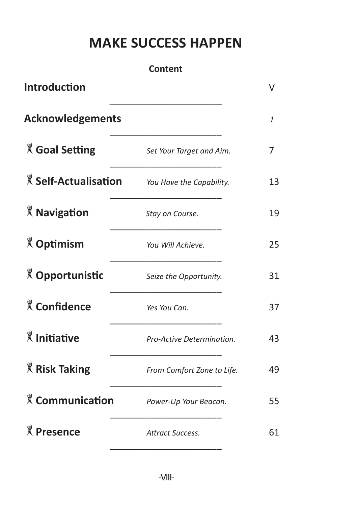#### **MAKE SUCCESS HAPPEN**

#### **Content Introduction** V *\_\_\_\_\_\_\_\_\_\_\_\_\_\_\_\_\_\_\_\_\_\_* **Acknowledgements** *1* \_\_\_\_\_\_\_\_\_\_\_\_\_\_\_\_\_\_\_\_\_\_ **Goal Setting** *Set Your Target and Aim.* 7 \_\_\_\_\_\_\_\_\_\_\_\_\_\_\_\_\_\_\_\_\_\_ **Self-Actualisation** *You Have the Capability.* 13 \_\_\_\_\_\_\_\_\_\_\_\_\_\_\_\_\_\_\_\_\_\_ **Navigation** *Stay on Course.* 19 \_\_\_\_\_\_\_\_\_\_\_\_\_\_\_\_\_\_\_\_\_\_ **Optimism** *You Will Achieve.* 25 \_\_\_\_\_\_\_\_\_\_\_\_\_\_\_\_\_\_\_\_\_\_ **Opportunistic** *Seize the Opportunity.* 31 \_\_\_\_\_\_\_\_\_\_\_\_\_\_\_\_\_\_\_\_\_\_ **Confidence** *Yes You Can.* 37  $\overline{\phantom{a}}$  , where  $\overline{\phantom{a}}$  , where  $\overline{\phantom{a}}$  , where  $\overline{\phantom{a}}$ **Initiative** *Pro-Active Determination.* 43  $\overline{\phantom{a}}$  , which is the set of the set of the set of the set of the set of the set of the set of the set of the set of the set of the set of the set of the set of the set of the set of the set of the set of the set of **Risk Taking** *From Comfort Zone to Life.* 49 \_\_\_\_\_\_\_\_\_\_\_\_\_\_\_\_\_\_\_\_\_\_ **Communication** *Power-Up Your Beacon.* 55  $\overline{\phantom{a}}$  , which is the set of the set of the set of the set of the set of the set of the set of the set of the set of the set of the set of the set of the set of the set of the set of the set of the set of the set of **Presence** *Attract Success.* 61  $\overline{\phantom{a}}$  , which is the set of the set of the set of the set of the set of the set of the set of the set of the set of the set of the set of the set of the set of the set of the set of the set of the set of the set of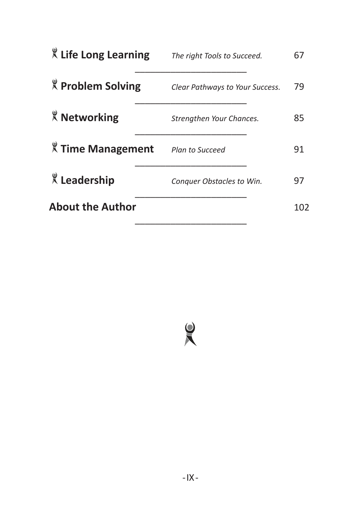|                 | 67                                                                                                                      |
|-----------------|-------------------------------------------------------------------------------------------------------------------------|
|                 | 79                                                                                                                      |
|                 | 85                                                                                                                      |
| Plan to Succeed | 91                                                                                                                      |
|                 | 97                                                                                                                      |
|                 | 102                                                                                                                     |
|                 | The right Tools to Succeed.<br>Clear Pathways to Your Success.<br>Strengthen Your Chances.<br>Conquer Obstacles to Win. |

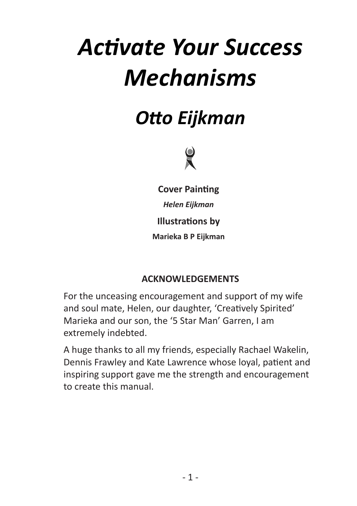# *Activate Your Success Mechanisms*

## *Otto Eijkman*



**Cover Painting**

*Helen Eijkman*

**Illustrations by**

**Marieka B P Eijkman**

#### **ACKNOWLEDGEMENTS**

For the unceasing encouragement and support of my wife and soul mate, Helen, our daughter, 'Creatively Spirited' Marieka and our son, the '5 Star Man' Garren, I am extremely indebted.

A huge thanks to all my friends, especially Rachael Wakelin, Dennis Frawley and Kate Lawrence whose loyal, patient and inspiring support gave me the strength and encouragement to create this manual.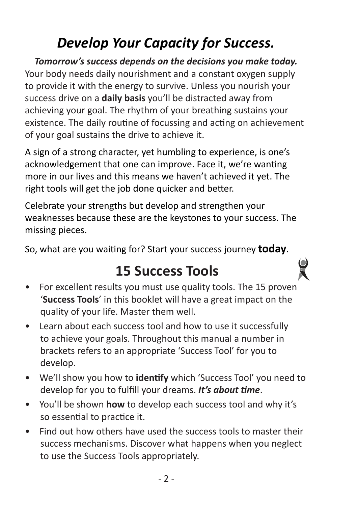## *Develop Your Capacity for Success.*

*Tomorrow's success depends on the decisions you make today.* Your body needs daily nourishment and a constant oxygen supply to provide it with the energy to survive. Unless you nourish your success drive on a **daily basis** you'll be distracted away from achieving your goal. The rhythm of your breathing sustains your existence. The daily routine of focussing and acting on achievement of your goal sustains the drive to achieve it.

A sign of a strong character, yet humbling to experience, is one's acknowledgement that one can improve. Face it, we're wanting more in our lives and this means we haven't achieved it yet. The right tools will get the job done quicker and better.

Celebrate your strengths but develop and strengthen your weaknesses because these are the keystones to your success. The missing pieces.

So, what are you waiting for? Start your success journey **today**.

#### **15 Success Tools**

- For excellent results you must use quality tools. The 15 proven '**Success Tools**' in this booklet will have a great impact on the quality of your life. Master them well.
- Learn about each success tool and how to use it successfully to achieve your goals. Throughout this manual a number in brackets refers to an appropriate 'Success Tool' for you to develop.
- We'll show you how to **identify** which 'Success Tool' you need to develop for you to fulfill your dreams. *It's about time*.
- You'll be shown **how** to develop each success tool and why it's so essential to practice it.
- Find out how others have used the success tools to master their success mechanisms. Discover what happens when you neglect to use the Success Tools appropriately.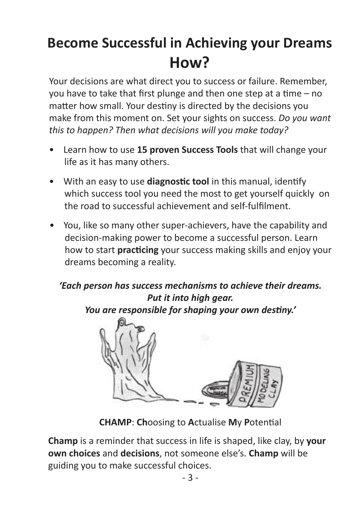## **Become Successful in Achieving your Dreams How?**

Your decisions are what direct you to success or failure. Remember, you have to take that first plunge and then one step at a time – no matter how small. Your destiny is directed by the decisions you make from this moment on. Set your sights on success. *Do you want this to happen? Then what decisions will you make today?*

- Learn how to use **15 proven Success Tools** that will change your life as it has many others.
- With an easy to use **diagnostic tool** in this manual, identify which success tool you need the most to get yourself quickly on the road to successful achievement and self-fulfilment.
- You, like so many other super-achievers, have the capability and decision-making power to become a successful person. Learn how to start **practicing** your success making skills and enjoy your dreams becoming a reality.

#### *'Each person has success mechanisms to achieve their dreams. Put it into high gear.*

*You are responsible for shaping your own destiny.'*



**CHAMP**: **Ch**oosing to **A**ctualise **M**y **P**otential

**Champ** is a reminder that success in life is shaped, like clay, by **your own choices** and **decisions**, not someone else's. **Champ** will be guiding you to make successful choices.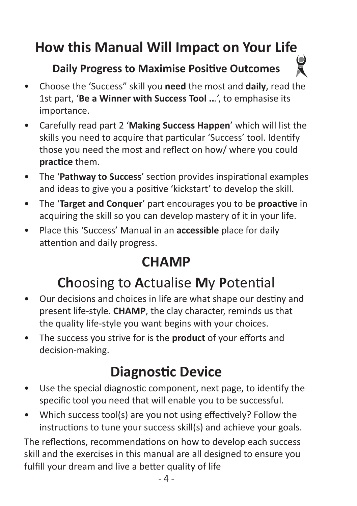## **How this Manual Will Impact on Your Life**

#### **Daily Progress to Maximise Positive Outcomes**

- Choose the 'Success" skill you **need** the most and **daily**, read the 1st part, '**Be a Winner with Success Tool ..***.*', to emphasise its importance.
- Carefully read part 2 '**Making Success Happen**' which will list the skills you need to acquire that particular 'Success' tool. Identify those you need the most and reflect on how/ where you could **practice** them.
- The '**Pathway to Success**' section provides inspirational examples and ideas to give you a positive 'kickstart' to develop the skill.
- The '**Target and Conquer**' part encourages you to be **proactive** in acquiring the skill so you can develop mastery of it in your life.
- Place this 'Success' Manual in an **accessible** place for daily attention and daily progress.

#### **CHAMP**

### **Ch**oosing to **A**ctualise **M**y **P**otential

- Our decisions and choices in life are what shape our destiny and present life-style. **CHAMP**, the clay character, reminds us that the quality life-style you want begins with your choices.
- The success you strive for is the **product** of your efforts and decision-making.

## **Diagnostic Device**

- Use the special diagnostic component, next page, to identify the specific tool you need that will enable you to be successful.
- Which success tool(s) are you not using effectively? Follow the instructions to tune your success skill(s) and achieve your goals.

The reflections, recommendations on how to develop each success skill and the exercises in this manual are all designed to ensure you fulfill your dream and live a better quality of life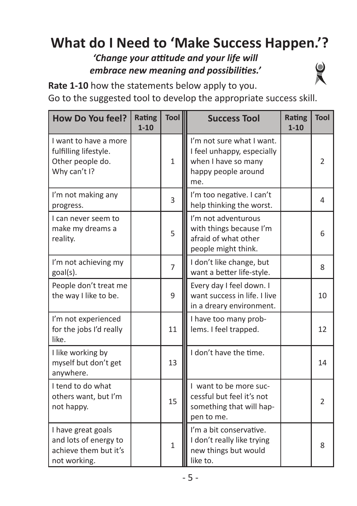## **What do I Need to 'Make Success Happen.'?**

#### *'Change your attitude and your life will embrace new meaning and possibilities.'*



Go to the suggested tool to develop the appropriate success skill.

| <b>How Do You feel?</b>                                                              | <b>Rating</b><br>$1 - 10$ | Tool           | <b>Success Tool</b>                                                                                          | <b>Rating</b><br>$1 - 10$ | <b>Tool</b>   |
|--------------------------------------------------------------------------------------|---------------------------|----------------|--------------------------------------------------------------------------------------------------------------|---------------------------|---------------|
| I want to have a more<br>fulfilling lifestyle.<br>Other people do.<br>Why can't I?   |                           | $\mathbf{1}$   | I'm not sure what I want.<br>I feel unhappy, especially<br>when I have so many<br>happy people around<br>me. |                           | 2             |
| I'm not making any<br>progress.                                                      |                           | 3              | I'm too negative. I can't<br>help thinking the worst.                                                        |                           | 4             |
| I can never seem to<br>make my dreams a<br>reality.                                  |                           | 5              | I'm not adventurous<br>with things because I'm<br>afraid of what other<br>people might think.                |                           | 6             |
| I'm not achieving my<br>goal(s).                                                     |                           | $\overline{7}$ | I don't like change, but<br>want a better life-style.                                                        |                           | 8             |
| People don't treat me<br>the way I like to be.                                       |                           | 9              | Every day I feel down. I<br>want success in life. I live<br>in a dreary environment.                         |                           | 10            |
| I'm not experienced<br>for the jobs I'd really<br>like.                              |                           | 11             | I have too many prob-<br>lems. I feel trapped.                                                               |                           | 12            |
| I like working by<br>myself but don't get<br>anywhere.                               |                           | 13             | I don't have the time.                                                                                       |                           | 14            |
| I tend to do what<br>others want, but I'm<br>not happy.                              |                           | 15             | I want to be more suc-<br>cessful but feel it's not<br>something that will hap-<br>pen to me.                |                           | $\mathcal{P}$ |
| I have great goals<br>and lots of energy to<br>achieve them but it's<br>not working. |                           | $\overline{1}$ | I'm a bit conservative.<br>I don't really like trying<br>new things but would<br>like to.                    |                           | 8             |